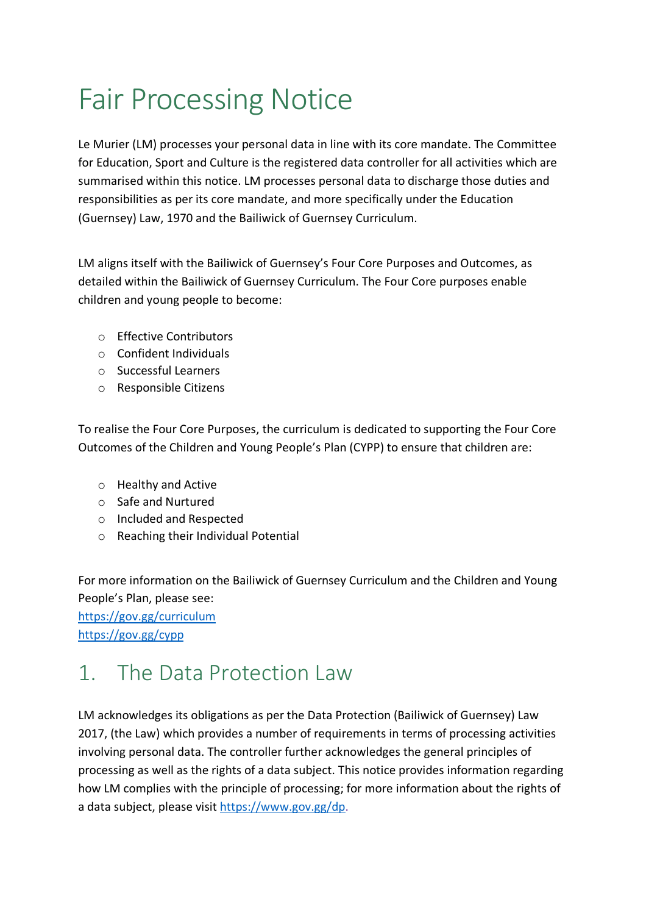# Fair Processing Notice

Le Murier (LM) processes your personal data in line with its core mandate. The Committee for Education, Sport and Culture is the registered data controller for all activities which are summarised within this notice. LM processes personal data to discharge those duties and responsibilities as per its core mandate, and more specifically under the Education (Guernsey) Law, 1970 and the Bailiwick of Guernsey Curriculum.

LM aligns itself with the Bailiwick of Guernsey's Four Core Purposes and Outcomes, as detailed within the Bailiwick of Guernsey Curriculum. The Four Core purposes enable children and young people to become:

- o Effective Contributors
- o Confident Individuals
- o Successful Learners
- o Responsible Citizens

To realise the Four Core Purposes, the curriculum is dedicated to supporting the Four Core Outcomes of the Children and Young People's Plan (CYPP) to ensure that children are:

- o Healthy and Active
- o Safe and Nurtured
- o Included and Respected
- o Reaching their Individual Potential

For more information on the Bailiwick of Guernsey Curriculum and the Children and Young People's Plan, please see:

https://gov.gg/curriculum https://gov.gg/cypp

### 1 The Data Protection Law

LM acknowledges its obligations as per the Data Protection (Bailiwick of Guernsey) Law 2017, (the Law) which provides a number of requirements in terms of processing activities involving personal data. The controller further acknowledges the general principles of processing as well as the rights of a data subject. This notice provides information regarding how LM complies with the principle of processing; for more information about the rights of a data subject, please visit https://www.gov.gg/dp.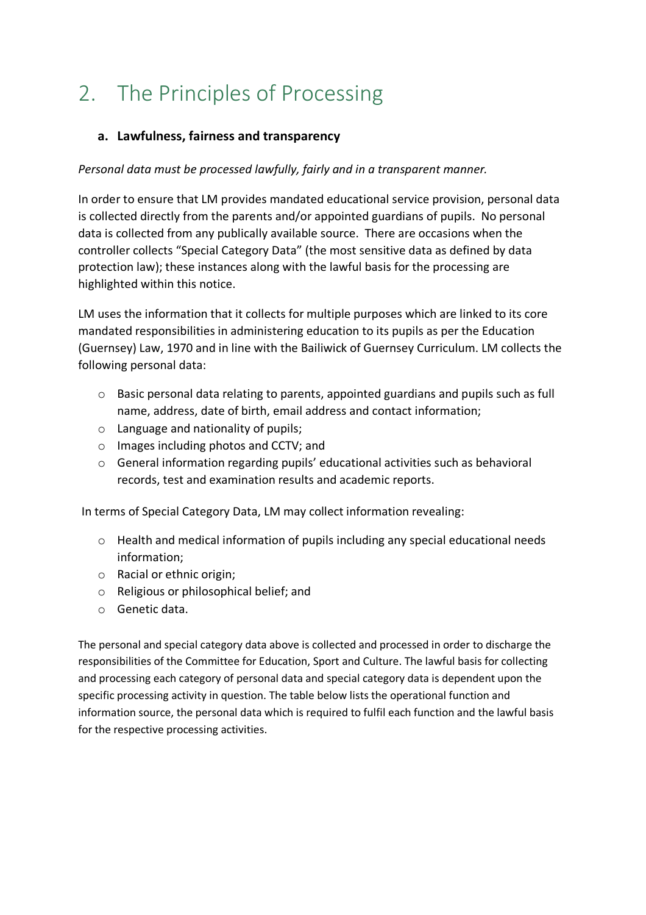## 2. The Principles of Processing

#### **a. Lawfulness, fairness and transparency**

#### *Personal data must be processed lawfully, fairly and in a transparent manner.*

In order to ensure that LM provides mandated educational service provision, personal data is collected directly from the parents and/or appointed guardians of pupils. No personal data is collected from any publically available source. There are occasions when the controller collects "Special Category Data" (the most sensitive data as defined by data protection law); these instances along with the lawful basis for the processing are highlighted within this notice.

LM uses the information that it collects for multiple purposes which are linked to its core mandated responsibilities in administering education to its pupils as per the Education (Guernsey) Law, 1970 and in line with the Bailiwick of Guernsey Curriculum. LM collects the following personal data:

- o Basic personal data relating to parents, appointed guardians and pupils such as full name, address, date of birth, email address and contact information;
- $\circ$  Language and nationality of pupils;
- o Images including photos and CCTV; and
- o General information regarding pupils' educational activities such as behavioral records, test and examination results and academic reports.

In terms of Special Category Data, LM may collect information revealing:

- o Health and medical information of pupils including any special educational needs information;
- o Racial or ethnic origin;
- o Religious or philosophical belief; and
- o Genetic data.

The personal and special category data above is collected and processed in order to discharge the responsibilities of the Committee for Education, Sport and Culture. The lawful basis for collecting and processing each category of personal data and special category data is dependent upon the specific processing activity in question. The table below lists the operational function and information source, the personal data which is required to fulfil each function and the lawful basis for the respective processing activities.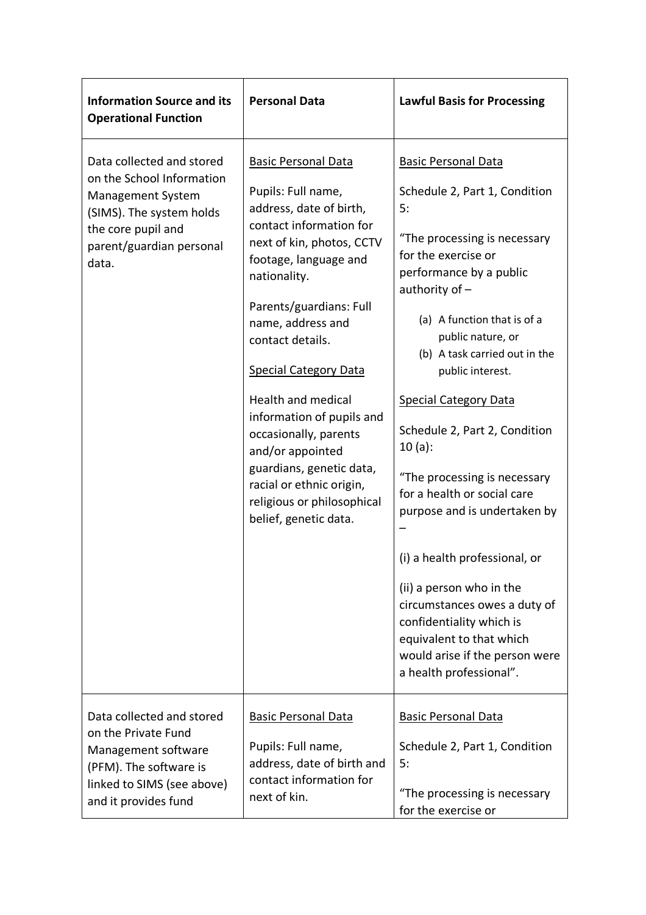| <b>Information Source and its</b><br><b>Operational Function</b>                                                                                                          | <b>Personal Data</b>                                                                                                                                                                                                                                                                                                                                                                                                                                                                            | <b>Lawful Basis for Processing</b>                                                                                                                                                                                                                                                                                                                                                                                                                                                                                                                                                                                                                                            |  |
|---------------------------------------------------------------------------------------------------------------------------------------------------------------------------|-------------------------------------------------------------------------------------------------------------------------------------------------------------------------------------------------------------------------------------------------------------------------------------------------------------------------------------------------------------------------------------------------------------------------------------------------------------------------------------------------|-------------------------------------------------------------------------------------------------------------------------------------------------------------------------------------------------------------------------------------------------------------------------------------------------------------------------------------------------------------------------------------------------------------------------------------------------------------------------------------------------------------------------------------------------------------------------------------------------------------------------------------------------------------------------------|--|
| Data collected and stored<br>on the School Information<br><b>Management System</b><br>(SIMS). The system holds<br>the core pupil and<br>parent/guardian personal<br>data. | <b>Basic Personal Data</b><br>Pupils: Full name,<br>address, date of birth,<br>contact information for<br>next of kin, photos, CCTV<br>footage, language and<br>nationality.<br>Parents/guardians: Full<br>name, address and<br>contact details.<br><b>Special Category Data</b><br>Health and medical<br>information of pupils and<br>occasionally, parents<br>and/or appointed<br>guardians, genetic data,<br>racial or ethnic origin,<br>religious or philosophical<br>belief, genetic data. | <b>Basic Personal Data</b><br>Schedule 2, Part 1, Condition<br>5:<br>"The processing is necessary<br>for the exercise or<br>performance by a public<br>authority of -<br>(a) A function that is of a<br>public nature, or<br>(b) A task carried out in the<br>public interest.<br><b>Special Category Data</b><br>Schedule 2, Part 2, Condition<br>$10(a)$ :<br>"The processing is necessary<br>for a health or social care<br>purpose and is undertaken by<br>(i) a health professional, or<br>(ii) a person who in the<br>circumstances owes a duty of<br>confidentiality which is<br>equivalent to that which<br>would arise if the person were<br>a health professional". |  |
| Data collected and stored<br>on the Private Fund<br>Management software<br>(PFM). The software is<br>linked to SIMS (see above)<br>and it provides fund                   | <b>Basic Personal Data</b><br>Pupils: Full name,<br>address, date of birth and<br>contact information for<br>next of kin.                                                                                                                                                                                                                                                                                                                                                                       | <b>Basic Personal Data</b><br>Schedule 2, Part 1, Condition<br>5:<br>"The processing is necessary<br>for the exercise or                                                                                                                                                                                                                                                                                                                                                                                                                                                                                                                                                      |  |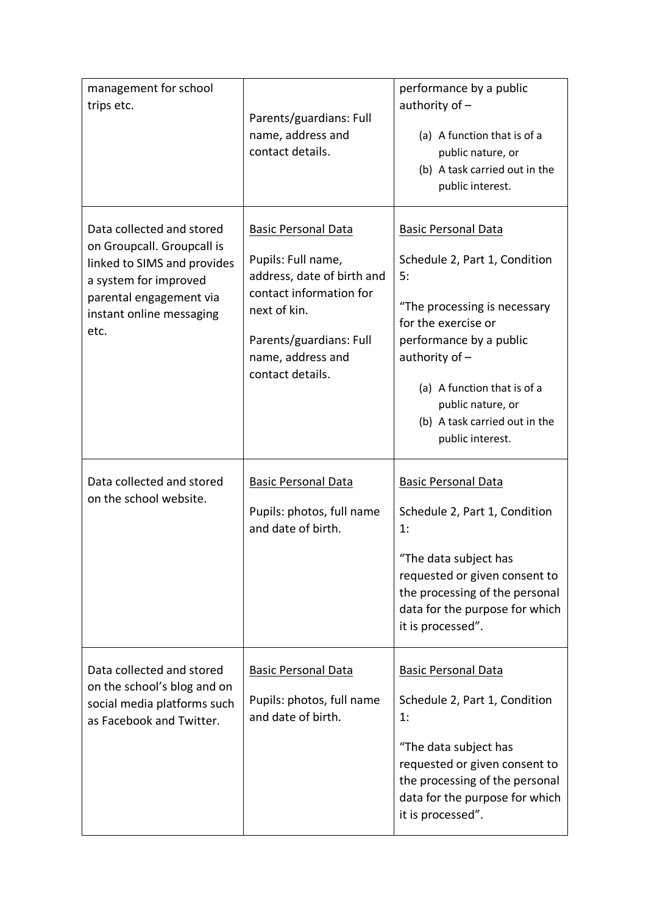| management for school<br>trips etc.                                                                                                                                            | Parents/guardians: Full<br>name, address and<br>contact details.                                                                                                                              | performance by a public<br>authority of $-$<br>(a) A function that is of a<br>public nature, or<br>(b) A task carried out in the<br>public interest.                                                                                                                             |
|--------------------------------------------------------------------------------------------------------------------------------------------------------------------------------|-----------------------------------------------------------------------------------------------------------------------------------------------------------------------------------------------|----------------------------------------------------------------------------------------------------------------------------------------------------------------------------------------------------------------------------------------------------------------------------------|
| Data collected and stored<br>on Groupcall. Groupcall is<br>linked to SIMS and provides<br>a system for improved<br>parental engagement via<br>instant online messaging<br>etc. | <b>Basic Personal Data</b><br>Pupils: Full name,<br>address, date of birth and<br>contact information for<br>next of kin.<br>Parents/guardians: Full<br>name, address and<br>contact details. | <b>Basic Personal Data</b><br>Schedule 2, Part 1, Condition<br>5:<br>"The processing is necessary<br>for the exercise or<br>performance by a public<br>authority of $-$<br>(a) A function that is of a<br>public nature, or<br>(b) A task carried out in the<br>public interest. |
| Data collected and stored<br>on the school website.                                                                                                                            | <b>Basic Personal Data</b><br>Pupils: photos, full name<br>and date of birth.                                                                                                                 | <b>Basic Personal Data</b><br>Schedule 2, Part 1, Condition<br>1:<br>"The data subject has<br>requested or given consent to<br>the processing of the personal<br>data for the purpose for which<br>it is processed".                                                             |
| Data collected and stored<br>on the school's blog and on<br>social media platforms such<br>as Facebook and Twitter.                                                            | <b>Basic Personal Data</b><br>Pupils: photos, full name<br>and date of birth.                                                                                                                 | <b>Basic Personal Data</b><br>Schedule 2, Part 1, Condition<br>1:<br>"The data subject has<br>requested or given consent to<br>the processing of the personal<br>data for the purpose for which<br>it is processed".                                                             |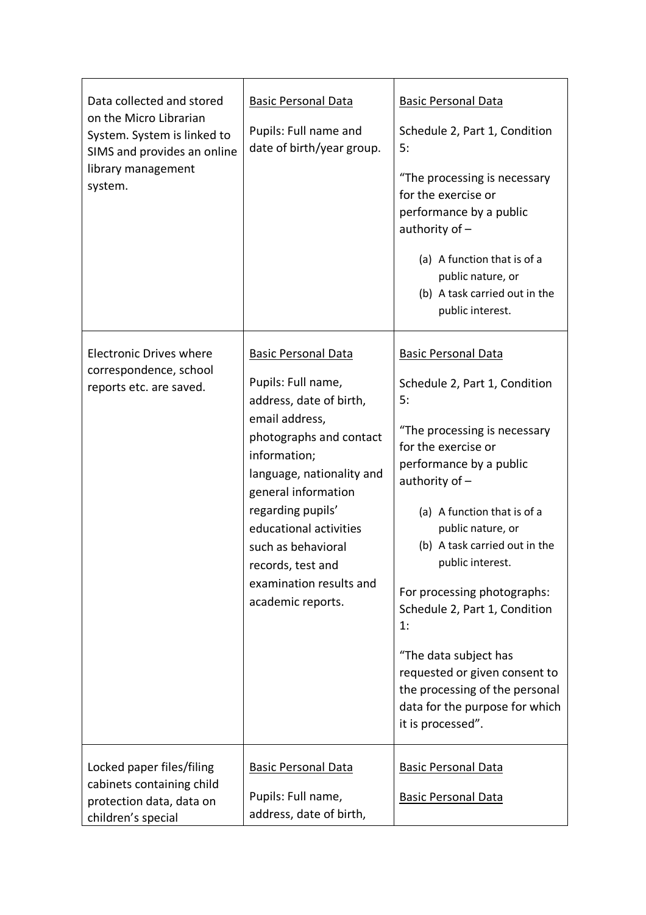| Data collected and stored<br>on the Micro Librarian<br>System. System is linked to<br>SIMS and provides an online<br>library management<br>system. | <b>Basic Personal Data</b><br>Pupils: Full name and<br>date of birth/year group.                                                                                                                                                                                                                                                       | <b>Basic Personal Data</b><br>Schedule 2, Part 1, Condition<br>5:<br>"The processing is necessary<br>for the exercise or<br>performance by a public<br>authority of $-$<br>(a) A function that is of a<br>public nature, or<br>(b) A task carried out in the<br>public interest.                                                                                                                                                                                                                          |
|----------------------------------------------------------------------------------------------------------------------------------------------------|----------------------------------------------------------------------------------------------------------------------------------------------------------------------------------------------------------------------------------------------------------------------------------------------------------------------------------------|-----------------------------------------------------------------------------------------------------------------------------------------------------------------------------------------------------------------------------------------------------------------------------------------------------------------------------------------------------------------------------------------------------------------------------------------------------------------------------------------------------------|
| <b>Electronic Drives where</b><br>correspondence, school<br>reports etc. are saved.                                                                | <b>Basic Personal Data</b><br>Pupils: Full name,<br>address, date of birth,<br>email address,<br>photographs and contact<br>information;<br>language, nationality and<br>general information<br>regarding pupils'<br>educational activities<br>such as behavioral<br>records, test and<br>examination results and<br>academic reports. | <b>Basic Personal Data</b><br>Schedule 2, Part 1, Condition<br>5:<br>"The processing is necessary<br>for the exercise or<br>performance by a public<br>authority of $-$<br>(a) A function that is of a<br>public nature, or<br>(b) A task carried out in the<br>public interest.<br>For processing photographs:<br>Schedule 2, Part 1, Condition<br>1:<br>"The data subject has<br>requested or given consent to<br>the processing of the personal<br>data for the purpose for which<br>it is processed". |
| Locked paper files/filing<br>cabinets containing child<br>protection data, data on<br>children's special                                           | <b>Basic Personal Data</b><br>Pupils: Full name,<br>address, date of birth,                                                                                                                                                                                                                                                            | <b>Basic Personal Data</b><br><b>Basic Personal Data</b>                                                                                                                                                                                                                                                                                                                                                                                                                                                  |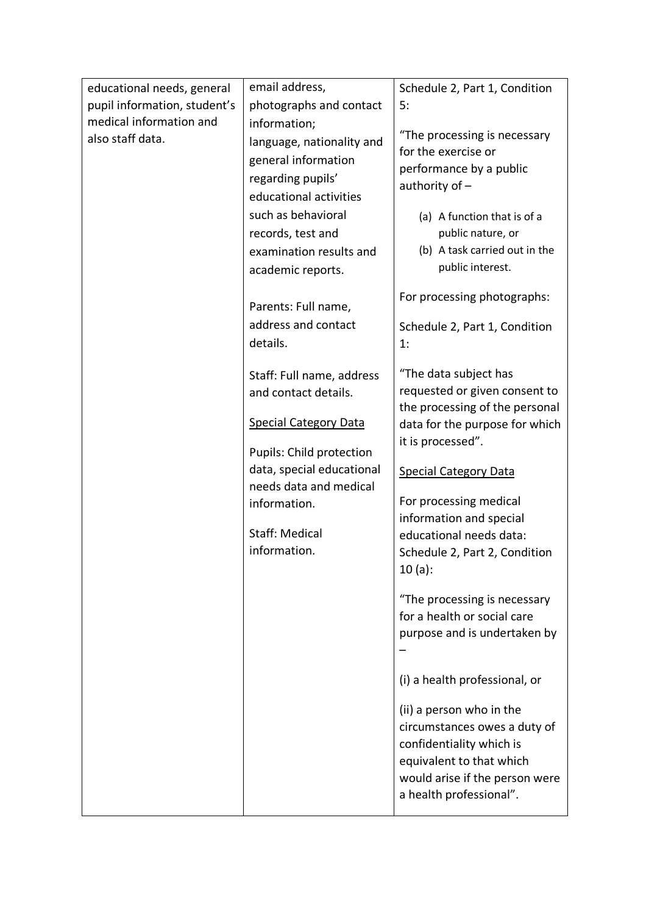| educational needs, general   | email address,                                    | Schedule 2, Part 1, Condition                     |
|------------------------------|---------------------------------------------------|---------------------------------------------------|
| pupil information, student's | photographs and contact                           | 5:                                                |
| medical information and      | information;                                      |                                                   |
| also staff data.             | language, nationality and                         | "The processing is necessary                      |
|                              | general information                               | for the exercise or                               |
|                              | regarding pupils'                                 | performance by a public                           |
|                              | educational activities                            | authority of $-$                                  |
|                              | such as behavioral                                | (a) A function that is of a                       |
|                              | records, test and                                 | public nature, or                                 |
|                              | examination results and                           | (b) A task carried out in the                     |
|                              | academic reports.                                 | public interest.                                  |
|                              |                                                   | For processing photographs:                       |
|                              | Parents: Full name,                               |                                                   |
|                              | address and contact                               | Schedule 2, Part 1, Condition                     |
|                              | details.                                          | 1:                                                |
|                              |                                                   | "The data subject has                             |
|                              | Staff: Full name, address<br>and contact details. | requested or given consent to                     |
|                              |                                                   | the processing of the personal                    |
|                              | <b>Special Category Data</b>                      | data for the purpose for which                    |
|                              |                                                   | it is processed".                                 |
|                              | Pupils: Child protection                          |                                                   |
|                              | data, special educational                         | <b>Special Category Data</b>                      |
|                              | needs data and medical                            |                                                   |
|                              | information.                                      | For processing medical<br>information and special |
|                              | <b>Staff: Medical</b>                             | educational needs data:                           |
|                              | information.                                      | Schedule 2, Part 2, Condition                     |
|                              |                                                   | $10(a)$ :                                         |
|                              |                                                   |                                                   |
|                              |                                                   | "The processing is necessary                      |
|                              |                                                   | for a health or social care                       |
|                              |                                                   | purpose and is undertaken by                      |
|                              |                                                   |                                                   |
|                              |                                                   | (i) a health professional, or                     |
|                              |                                                   | (ii) a person who in the                          |
|                              |                                                   | circumstances owes a duty of                      |
|                              |                                                   | confidentiality which is                          |
|                              |                                                   | equivalent to that which                          |
|                              |                                                   | would arise if the person were                    |
|                              |                                                   | a health professional".                           |
|                              |                                                   |                                                   |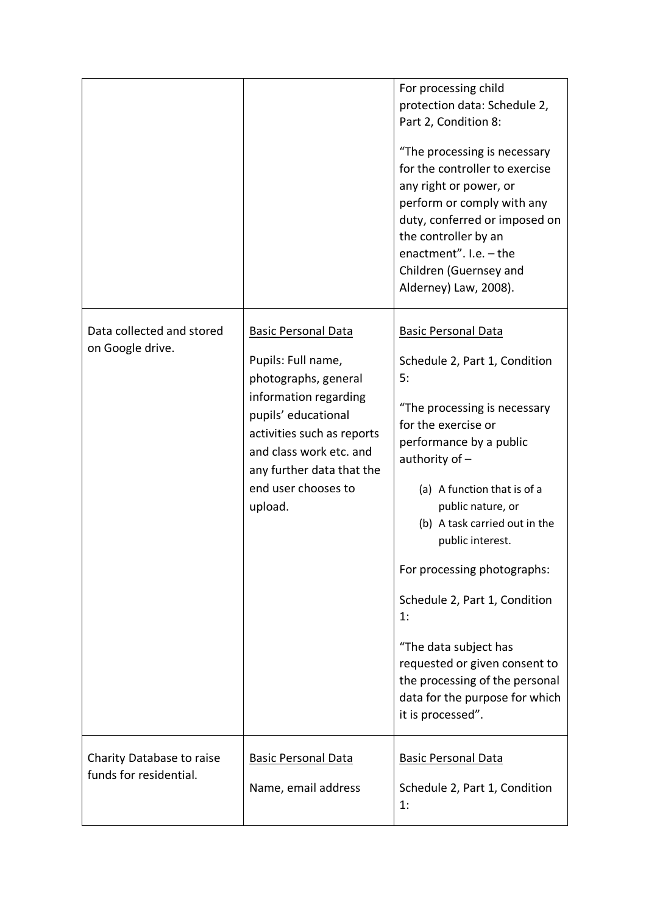|                                                     |                                                                                                                                                                                                                                                  | For processing child<br>protection data: Schedule 2,<br>Part 2, Condition 8:<br>"The processing is necessary<br>for the controller to exercise<br>any right or power, or<br>perform or comply with any<br>duty, conferred or imposed on<br>the controller by an<br>enactment". $I.e. - the$<br>Children (Guernsey and<br>Alderney) Law, 2008).                                                                                                                                                            |
|-----------------------------------------------------|--------------------------------------------------------------------------------------------------------------------------------------------------------------------------------------------------------------------------------------------------|-----------------------------------------------------------------------------------------------------------------------------------------------------------------------------------------------------------------------------------------------------------------------------------------------------------------------------------------------------------------------------------------------------------------------------------------------------------------------------------------------------------|
| Data collected and stored<br>on Google drive.       | <b>Basic Personal Data</b><br>Pupils: Full name,<br>photographs, general<br>information regarding<br>pupils' educational<br>activities such as reports<br>and class work etc. and<br>any further data that the<br>end user chooses to<br>upload. | <b>Basic Personal Data</b><br>Schedule 2, Part 1, Condition<br>5:<br>"The processing is necessary<br>for the exercise or<br>performance by a public<br>authority of $-$<br>(a) A function that is of a<br>public nature, or<br>(b) A task carried out in the<br>public interest.<br>For processing photographs:<br>Schedule 2, Part 1, Condition<br>1:<br>"The data subject has<br>requested or given consent to<br>the processing of the personal<br>data for the purpose for which<br>it is processed". |
| Charity Database to raise<br>funds for residential. | <b>Basic Personal Data</b><br>Name, email address                                                                                                                                                                                                | <b>Basic Personal Data</b><br>Schedule 2, Part 1, Condition<br>1:                                                                                                                                                                                                                                                                                                                                                                                                                                         |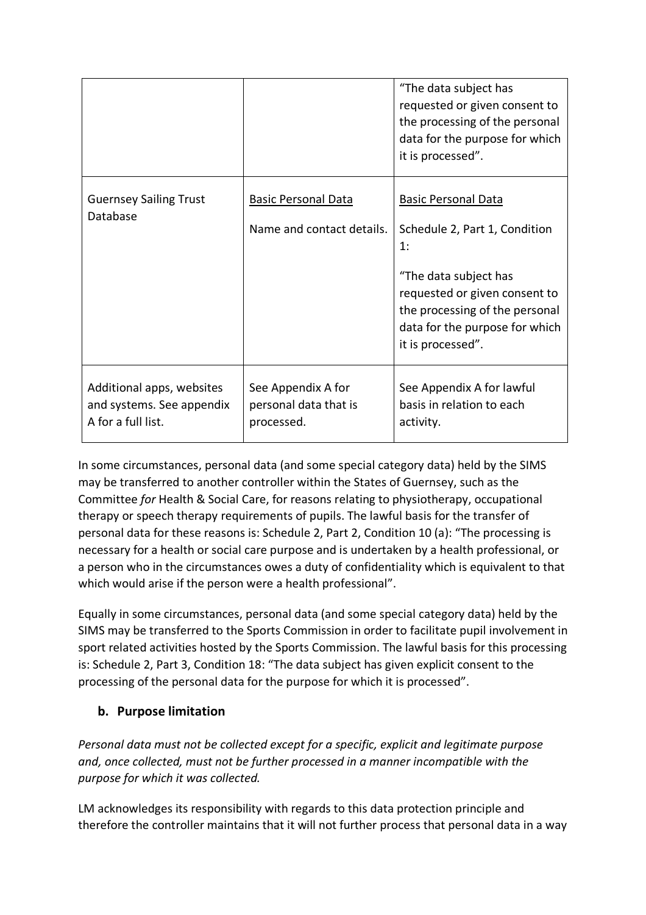|                                                                              |                                                           | "The data subject has<br>requested or given consent to<br>the processing of the personal<br>data for the purpose for which<br>it is processed".                                                                      |
|------------------------------------------------------------------------------|-----------------------------------------------------------|----------------------------------------------------------------------------------------------------------------------------------------------------------------------------------------------------------------------|
| <b>Guernsey Sailing Trust</b><br>Database                                    | <b>Basic Personal Data</b><br>Name and contact details.   | <b>Basic Personal Data</b><br>Schedule 2, Part 1, Condition<br>1:<br>"The data subject has<br>requested or given consent to<br>the processing of the personal<br>data for the purpose for which<br>it is processed". |
| Additional apps, websites<br>and systems. See appendix<br>A for a full list. | See Appendix A for<br>personal data that is<br>processed. | See Appendix A for lawful<br>basis in relation to each<br>activity.                                                                                                                                                  |

In some circumstances, personal data (and some special category data) held by the SIMS may be transferred to another controller within the States of Guernsey, such as the Committee *for* Health & Social Care, for reasons relating to physiotherapy, occupational therapy or speech therapy requirements of pupils. The lawful basis for the transfer of personal data for these reasons is: Schedule 2, Part 2, Condition 10 (a): "The processing is necessary for a health or social care purpose and is undertaken by a health professional, or a person who in the circumstances owes a duty of confidentiality which is equivalent to that which would arise if the person were a health professional".

Equally in some circumstances, personal data (and some special category data) held by the SIMS may be transferred to the Sports Commission in order to facilitate pupil involvement in sport related activities hosted by the Sports Commission. The lawful basis for this processing is: Schedule 2, Part 3, Condition 18: "The data subject has given explicit consent to the processing of the personal data for the purpose for which it is processed".

#### **b. Purpose limitation**

*Personal data must not be collected except for a specific, explicit and legitimate purpose and, once collected, must not be further processed in a manner incompatible with the purpose for which it was collected.* 

LM acknowledges its responsibility with regards to this data protection principle and therefore the controller maintains that it will not further process that personal data in a way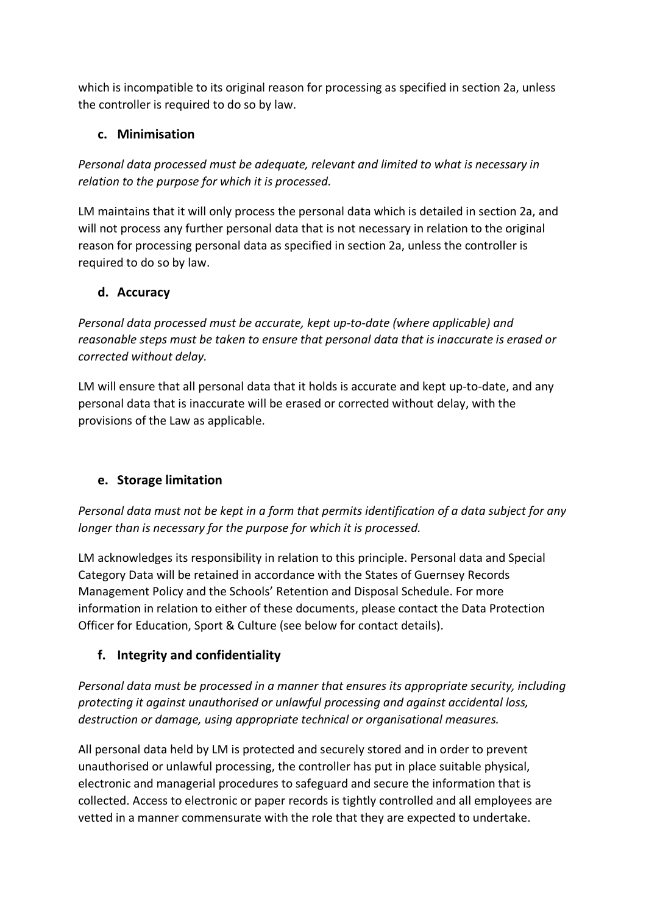which is incompatible to its original reason for processing as specified in section 2a, unless the controller is required to do so by law.

#### **c. Minimisation**

*Personal data processed must be adequate, relevant and limited to what is necessary in relation to the purpose for which it is processed.* 

LM maintains that it will only process the personal data which is detailed in section 2a, and will not process any further personal data that is not necessary in relation to the original reason for processing personal data as specified in section 2a, unless the controller is required to do so by law.

#### **d. Accuracy**

*Personal data processed must be accurate, kept up-to-date (where applicable) and reasonable steps must be taken to ensure that personal data that is inaccurate is erased or corrected without delay.* 

LM will ensure that all personal data that it holds is accurate and kept up-to-date, and any personal data that is inaccurate will be erased or corrected without delay, with the provisions of the Law as applicable.

#### **e. Storage limitation**

*Personal data must not be kept in a form that permits identification of a data subject for any longer than is necessary for the purpose for which it is processed.* 

LM acknowledges its responsibility in relation to this principle. Personal data and Special Category Data will be retained in accordance with the States of Guernsey Records Management Policy and the Schools' Retention and Disposal Schedule. For more information in relation to either of these documents, please contact the Data Protection Officer for Education, Sport & Culture (see below for contact details).

#### **f. Integrity and confidentiality**

*Personal data must be processed in a manner that ensures its appropriate security, including protecting it against unauthorised or unlawful processing and against accidental loss, destruction or damage, using appropriate technical or organisational measures.* 

All personal data held by LM is protected and securely stored and in order to prevent unauthorised or unlawful processing, the controller has put in place suitable physical, electronic and managerial procedures to safeguard and secure the information that is collected. Access to electronic or paper records is tightly controlled and all employees are vetted in a manner commensurate with the role that they are expected to undertake.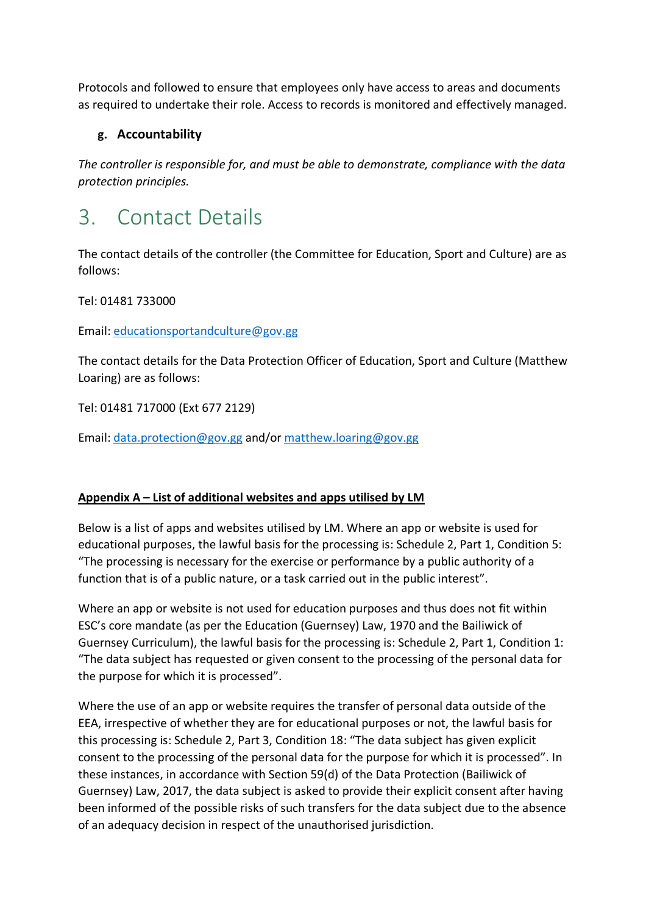Protocols and followed to ensure that employees only have access to areas and documents as required to undertake their role. Access to records is monitored and effectively managed.

#### **g. Accountability**

*The controller is responsible for, and must be able to demonstrate, compliance with the data protection principles.* 

### 3. Contact Details

The contact details of the controller (the Committee for Education, Sport and Culture) are as follows:

Tel: 01481 733000

Email: educationsportandculture@gov.gg

The contact details for the Data Protection Officer of Education, Sport and Culture (Matthew Loaring) are as follows:

Tel: 01481 717000 (Ext 677 2129)

Email: data.protection@gov.gg and/or matthew.loaring@gov.gg

#### **Appendix A – List of additional websites and apps utilised by LM**

Below is a list of apps and websites utilised by LM. Where an app or website is used for educational purposes, the lawful basis for the processing is: Schedule 2, Part 1, Condition 5: "The processing is necessary for the exercise or performance by a public authority of a function that is of a public nature, or a task carried out in the public interest".

Where an app or website is not used for education purposes and thus does not fit within ESC's core mandate (as per the Education (Guernsey) Law, 1970 and the Bailiwick of Guernsey Curriculum), the lawful basis for the processing is: Schedule 2, Part 1, Condition 1: "The data subject has requested or given consent to the processing of the personal data for the purpose for which it is processed".

Where the use of an app or website requires the transfer of personal data outside of the EEA, irrespective of whether they are for educational purposes or not, the lawful basis for this processing is: Schedule 2, Part 3, Condition 18: "The data subject has given explicit consent to the processing of the personal data for the purpose for which it is processed". In these instances, in accordance with Section 59(d) of the Data Protection (Bailiwick of Guernsey) Law, 2017, the data subject is asked to provide their explicit consent after having been informed of the possible risks of such transfers for the data subject due to the absence of an adequacy decision in respect of the unauthorised jurisdiction.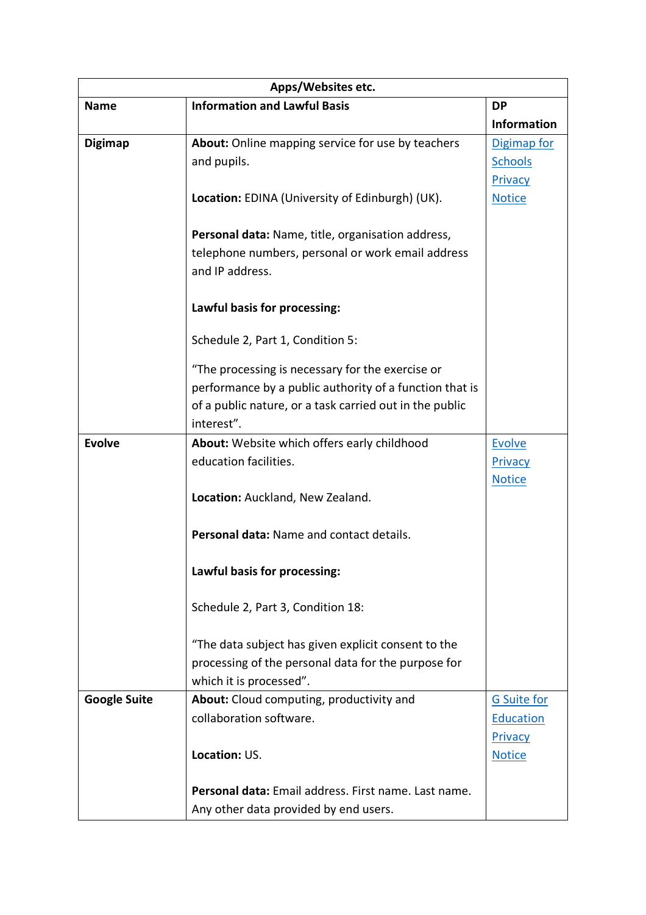| Apps/Websites etc.  |                                                         |                    |  |
|---------------------|---------------------------------------------------------|--------------------|--|
| <b>Name</b>         | <b>Information and Lawful Basis</b>                     | <b>DP</b>          |  |
|                     |                                                         | <b>Information</b> |  |
| <b>Digimap</b>      | About: Online mapping service for use by teachers       | Digimap for        |  |
|                     | and pupils.                                             | <b>Schools</b>     |  |
|                     |                                                         | Privacy            |  |
|                     | <b>Location:</b> EDINA (University of Edinburgh) (UK).  | <b>Notice</b>      |  |
|                     | Personal data: Name, title, organisation address,       |                    |  |
|                     | telephone numbers, personal or work email address       |                    |  |
|                     | and IP address.                                         |                    |  |
|                     | Lawful basis for processing:                            |                    |  |
|                     | Schedule 2, Part 1, Condition 5:                        |                    |  |
|                     | "The processing is necessary for the exercise or        |                    |  |
|                     | performance by a public authority of a function that is |                    |  |
|                     | of a public nature, or a task carried out in the public |                    |  |
|                     | interest".                                              |                    |  |
| <b>Evolve</b>       | About: Website which offers early childhood             | <b>Evolve</b>      |  |
|                     | education facilities.                                   | Privacy            |  |
|                     |                                                         | <b>Notice</b>      |  |
|                     | Location: Auckland, New Zealand.                        |                    |  |
|                     | Personal data: Name and contact details.                |                    |  |
|                     | Lawful basis for processing:                            |                    |  |
|                     | Schedule 2, Part 3, Condition 18:                       |                    |  |
|                     | "The data subject has given explicit consent to the     |                    |  |
|                     | processing of the personal data for the purpose for     |                    |  |
|                     | which it is processed".                                 |                    |  |
| <b>Google Suite</b> | About: Cloud computing, productivity and                | <b>G</b> Suite for |  |
|                     | collaboration software.                                 | Education          |  |
|                     |                                                         | Privacy            |  |
|                     | Location: US.                                           | <b>Notice</b>      |  |
|                     | Personal data: Email address. First name. Last name.    |                    |  |
|                     | Any other data provided by end users.                   |                    |  |